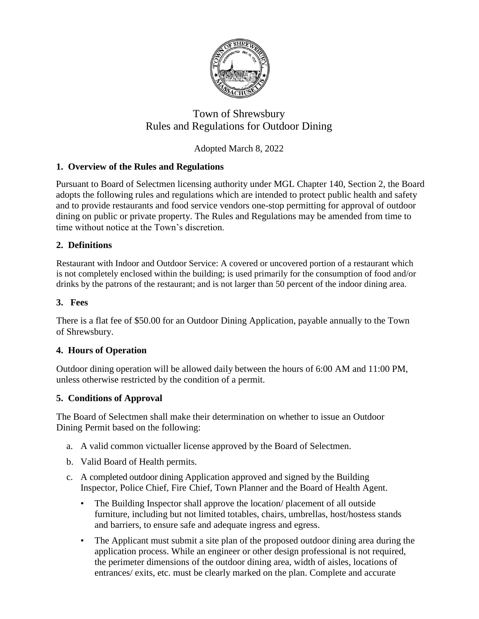

# Town of Shrewsbury Rules and Regulations for Outdoor Dining

## Adopted March 8, 2022

## **1. Overview of the Rules and Regulations**

Pursuant to Board of Selectmen licensing authority under MGL Chapter 140, Section 2, the Board adopts the following rules and regulations which are intended to protect public health and safety and to provide restaurants and food service vendors one-stop permitting for approval of outdoor dining on public or private property. The Rules and Regulations may be amended from time to time without notice at the Town's discretion.

## **2. Definitions**

Restaurant with Indoor and Outdoor Service: A covered or uncovered portion of a restaurant which is not completely enclosed within the building; is used primarily for the consumption of food and/or drinks by the patrons of the restaurant; and is not larger than 50 percent of the indoor dining area.

## **3. Fees**

There is a flat fee of \$50.00 for an Outdoor Dining Application, payable annually to the Town of Shrewsbury.

## **4. Hours of Operation**

Outdoor dining operation will be allowed daily between the hours of 6:00 AM and 11:00 PM, unless otherwise restricted by the condition of a permit.

## **5. Conditions of Approval**

The Board of Selectmen shall make their determination on whether to issue an Outdoor Dining Permit based on the following:

- a. A valid common victualler license approved by the Board of Selectmen.
- b. Valid Board of Health permits.
- c. A completed outdoor dining Application approved and signed by the Building Inspector, Police Chief, Fire Chief, Town Planner and the Board of Health Agent.
	- The Building Inspector shall approve the location/ placement of all outside furniture, including but not limited totables, chairs, umbrellas, host/hostess stands and barriers, to ensure safe and adequate ingress and egress.
	- The Applicant must submit a site plan of the proposed outdoor dining area during the application process. While an engineer or other design professional is not required, the perimeter dimensions of the outdoor dining area, width of aisles, locations of entrances/ exits, etc. must be clearly marked on the plan. Complete and accurate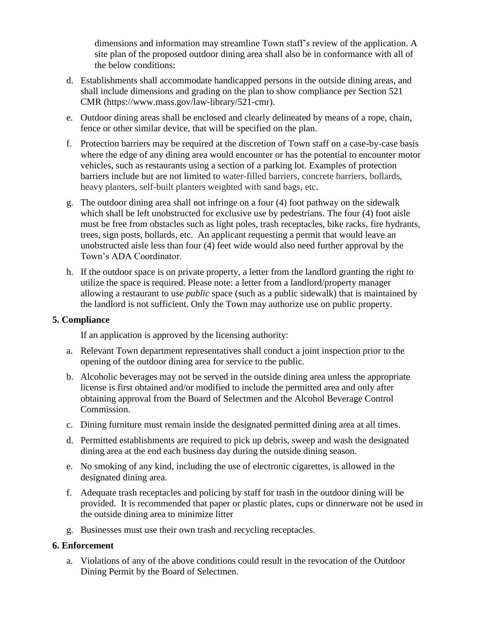dimensions and information may streamline Town staff's review of the application. A site plan of the proposed outdoor dining area shall also be in conformance with all of the below conditions:

- d. Establishments shall accommodate handicapped persons in the outside dining areas, and shall include dimensions and grading on the plan to show compliance per Section 521 CMR (https://www.mass.gov/law-library/521-cmr).
- e. Outdoor dining areas shall be enclosed and clearly delineated by means of a rope, chain, fence or other similar device, that will be specified on the plan.
- f. Protection barriers may be required at the discretion of Town staff on a case-by-case basis where the edge of any dining area would encounter or has the potential to encounter motor vehicles, such as restaurants using a section of a parking lot. Examples of protection barriers include but are not limited to water-filled barriers, concrete barriers, bollards, heavy planters, self-built planters weighted with sand bags, etc.
- g. The outdoor dining area shall not infringe on a four (4) foot pathway on the sidewalk which shall be left unobstructed for exclusive use by pedestrians. The four (4) foot aisle must be free from obstacles such as light poles, trash receptacles, bike racks, fire hydrants, trees, sign posts, bollards, etc. An applicant requesting a permit that would leave an unobstructed aisle less than four (4) feet wide would also need further approval by the Town's ADA Coordinator.
- h. If the outdoor space is on private property, a letter from the landlord granting the right to utilize the space is required. Please note: a letter from a landlord/property manager allowing a restaurant to use *public* space (such as a public sidewalk) that is maintained by the landlord is not sufficient. Only the Town may authorize use on public property.

#### **5. Compliance**

If an application is approved by the licensing authority:

- a. Relevant Town department representatives shall conduct a joint inspection prior to the opening of the outdoor dining area for service to the public.
- b. Alcoholic beverages may not be served in the outside dining area unless the appropriate license is first obtained and/or modified to include the permitted area and only after obtaining approval from the Board of Selectmen and the Alcohol Beverage Control Commission.
- c. Dining furniture must remain inside the designated permitted dining area at all times.
- d. Permitted establishments are required to pick up debris, sweep and wash the designated dining area at the end each business day during the outside dining season.
- e. No smoking of any kind, including the use of electronic cigarettes, is allowed in the designated dining area.
- f. Adequate trash receptacles and policing by staff for trash in the outdoor dining will be provided. It is recommended that paper or plastic plates, cups or dinnerware not be used in the outside dining area to minimize litter
- g. Businesses must use their own trash and recycling receptacles.

#### **6. Enforcement**

a. Violations of any of the above conditions could result in the revocation of the Outdoor Dining Permit by the Board of Selectmen.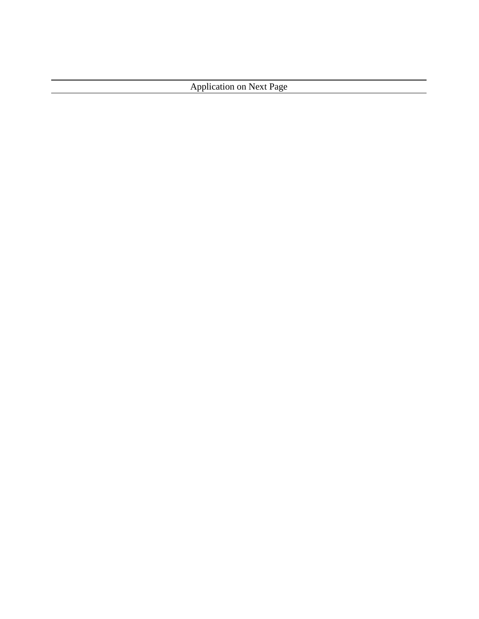Application on Next Page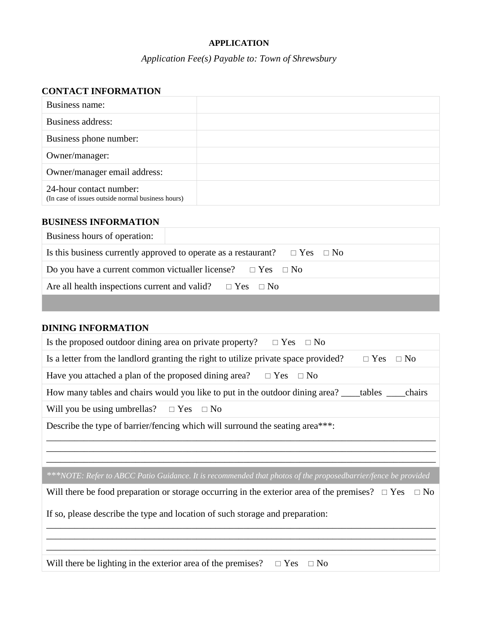#### **APPLICATION**

## *Application Fee(s) Payable to: Town of Shrewsbury*

### **CONTACT INFORMATION**

| Business name:                                                               |  |
|------------------------------------------------------------------------------|--|
| Business address:                                                            |  |
| Business phone number:                                                       |  |
| Owner/manager:                                                               |  |
| Owner/manager email address:                                                 |  |
| 24-hour contact number:<br>(In case of issues outside normal business hours) |  |

#### **BUSINESS INFORMATION**

| Business hours of operation:                                                         |  |  |  |
|--------------------------------------------------------------------------------------|--|--|--|
| Is this business currently approved to operate as a restaurant? $\Box$ Yes $\Box$ No |  |  |  |
| Do you have a current common victualler license? $\Box$ Yes $\Box$ No                |  |  |  |
| Are all health inspections current and valid? $\square$ Yes $\square$ No             |  |  |  |
|                                                                                      |  |  |  |

## **DINING INFORMATION**

| Is the proposed outdoor dining area on private property?<br>$\Box$ Yes $\Box$ No                                  |  |  |  |
|-------------------------------------------------------------------------------------------------------------------|--|--|--|
| Is a letter from the landlord granting the right to utilize private space provided?<br>$\Box$ No<br>$\Box$ Yes    |  |  |  |
| Have you attached a plan of the proposed dining area? $\Box$ Yes $\Box$ No                                        |  |  |  |
| How many tables and chairs would you like to put in the outdoor dining area? ____tables _____<br>chairs           |  |  |  |
| Will you be using umbrellas? $\Box$ Yes $\Box$ No                                                                 |  |  |  |
| Describe the type of barrier/fencing which will surround the seating area***:                                     |  |  |  |
|                                                                                                                   |  |  |  |
|                                                                                                                   |  |  |  |
| ***NOTE: Refer to ABCC Patio Guidance. It is recommended that photos of the proposedbarrier/fence be provided     |  |  |  |
| Will there be food preparation or storage occurring in the exterior area of the premises? $\Box$ Yes<br>$\Box$ No |  |  |  |
| If so, please describe the type and location of such storage and preparation:                                     |  |  |  |
|                                                                                                                   |  |  |  |
|                                                                                                                   |  |  |  |
|                                                                                                                   |  |  |  |

Will there be lighting in the exterior area of the premises?  $\Box$  Yes  $\Box$  No